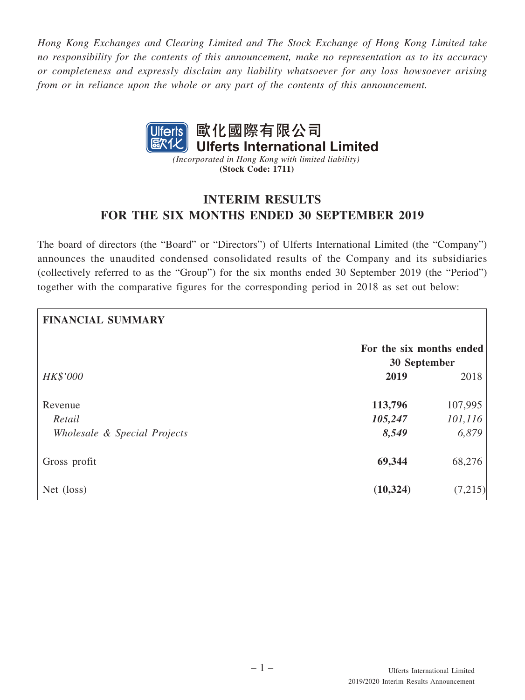*Hong Kong Exchanges and Clearing Limited and The Stock Exchange of Hong Kong Limited take no responsibility for the contents of this announcement, make no representation as to its accuracy or completeness and expressly disclaim any liability whatsoever for any loss howsoever arising from or in reliance upon the whole or any part of the contents of this announcement.*



*(Incorporated in Hong Kong with limited liability)* **(Stock Code: 1711)**

# **INTERIM RESULTS FOR THE SIX MONTHS ENDED 30 SEPTEMBER 2019**

The board of directors (the "Board" or "Directors") of Ulferts International Limited (the "Company") announces the unaudited condensed consolidated results of the Company and its subsidiaries (collectively referred to as the "Group") for the six months ended 30 September 2019 (the "Period") together with the comparative figures for the corresponding period in 2018 as set out below:

| <b>FINANCIAL SUMMARY</b>     |                                          |          |
|------------------------------|------------------------------------------|----------|
|                              | For the six months ended<br>30 September |          |
| <b>HK\$'000</b>              | 2019                                     | 2018     |
| Revenue                      | 113,796                                  | 107,995  |
| Retail                       | 105,247                                  | 101, 116 |
| Wholesale & Special Projects | 8,549                                    | 6,879    |
| Gross profit                 | 69,344                                   | 68,276   |
| Net (loss)                   | (10, 324)                                | (7,215)  |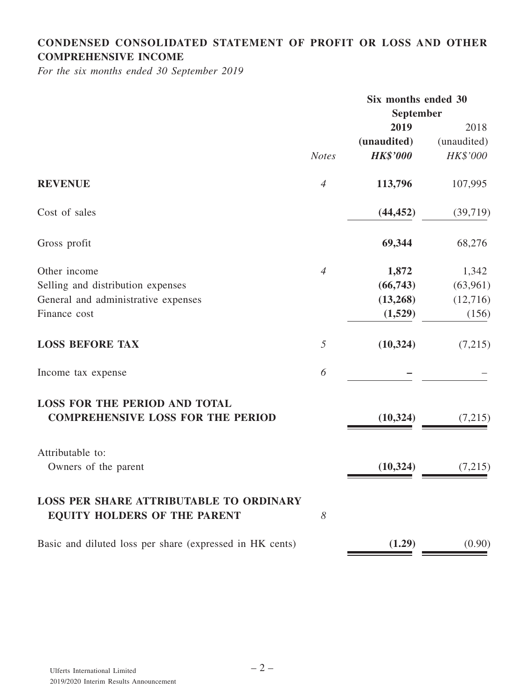# **CONDENSED CONSOLIDATED STATEMENT OF PROFIT OR LOSS AND OTHER COMPREHENSIVE INCOME**

*For the six months ended 30 September 2019*

|                                                                                       |                | Six months ended 30 |             |
|---------------------------------------------------------------------------------------|----------------|---------------------|-------------|
|                                                                                       | September      |                     |             |
|                                                                                       |                | 2019                | 2018        |
|                                                                                       |                | (unaudited)         | (unaudited) |
|                                                                                       | <b>Notes</b>   | <b>HK\$'000</b>     | HK\$'000    |
| <b>REVENUE</b>                                                                        | $\overline{4}$ | 113,796             | 107,995     |
| Cost of sales                                                                         |                | (44, 452)           | (39, 719)   |
| Gross profit                                                                          |                | 69,344              | 68,276      |
| Other income                                                                          | $\overline{4}$ | 1,872               | 1,342       |
| Selling and distribution expenses                                                     |                | (66,743)            | (63,961)    |
| General and administrative expenses                                                   |                | (13,268)            | (12,716)    |
| Finance cost                                                                          |                | (1,529)             | (156)       |
| <b>LOSS BEFORE TAX</b>                                                                | 5              | (10, 324)           | (7,215)     |
| Income tax expense                                                                    | 6              |                     |             |
| <b>LOSS FOR THE PERIOD AND TOTAL</b><br><b>COMPREHENSIVE LOSS FOR THE PERIOD</b>      |                | (10, 324)           | (7,215)     |
| Attributable to:                                                                      |                |                     |             |
| Owners of the parent                                                                  |                | (10, 324)           | (7,215)     |
| <b>LOSS PER SHARE ATTRIBUTABLE TO ORDINARY</b><br><b>EQUITY HOLDERS OF THE PARENT</b> | 8              |                     |             |
| Basic and diluted loss per share (expressed in HK cents)                              |                | (1.29)              | (0.90)      |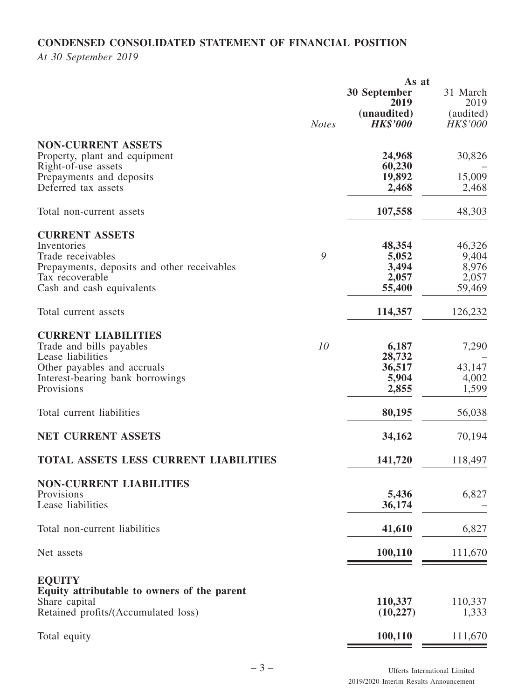# **CONDENSED CONSOLIDATED STATEMENT OF FINANCIAL POSITION**

*At 30 September 2019*

|                                              | As at        |                 |                 |
|----------------------------------------------|--------------|-----------------|-----------------|
|                                              |              | 30 September    | 31 March        |
|                                              |              | 2019            | 2019            |
|                                              |              | (unaudited)     | (audited)       |
|                                              | <b>Notes</b> | <b>HK\$'000</b> | <b>HK\$'000</b> |
| <b>NON-CURRENT ASSETS</b>                    |              |                 |                 |
|                                              |              |                 |                 |
| Property, plant and equipment                |              | 24,968          | 30,826          |
| Right-of-use assets                          |              | 60,230          |                 |
| Prepayments and deposits                     |              | 19,892          | 15,009          |
| Deferred tax assets                          |              | 2,468           | 2,468           |
| Total non-current assets                     |              | 107,558         | 48,303          |
| <b>CURRENT ASSETS</b>                        |              |                 |                 |
| Inventories                                  |              | 48,354          | 46,326          |
| Trade receivables                            | 9            |                 |                 |
|                                              |              | 5,052           | 9,404           |
| Prepayments, deposits and other receivables  |              | 3,494           | 8,976           |
| Tax recoverable                              |              | 2,057           | 2,057           |
| Cash and cash equivalents                    |              | 55,400          | 59,469          |
| Total current assets                         |              | 114,357         | 126,232         |
|                                              |              |                 |                 |
| <b>CURRENT LIABILITIES</b>                   |              |                 |                 |
| Trade and bills payables                     | 10           | 6,187           | 7,290           |
| Lease liabilities                            |              | 28,732          |                 |
| Other payables and accruals                  |              | 36,517          | 43,147          |
| Interest-bearing bank borrowings             |              | 5,904           | 4,002           |
| Provisions                                   |              | 2,855           | 1,599           |
| Total current liabilities                    |              | 80,195          | 56,038          |
| <b>NET CURRENT ASSETS</b>                    |              | 34,162          | 70,194          |
|                                              |              |                 |                 |
| <b>TOTAL ASSETS LESS CURRENT LIABILITIES</b> |              | 141,720         | 118,497         |
| <b>NON-CURRENT LIABILITIES</b>               |              |                 |                 |
| Provisions                                   |              | 5,436           | 6,827           |
| Lease liabilities                            |              | 36,174          |                 |
|                                              |              |                 |                 |
| Total non-current liabilities                |              | 41,610          | 6,827           |
|                                              |              |                 |                 |
| Net assets                                   |              | 100,110         | 111,670         |
| <b>EQUITY</b>                                |              |                 |                 |
| Equity attributable to owners of the parent  |              |                 |                 |
| Share capital                                |              | 110,337         | 110,337         |
| Retained profits/(Accumulated loss)          |              | (10, 227)       | 1,333           |
|                                              |              |                 |                 |
| Total equity                                 |              | 100,110         | 111,670         |
|                                              |              |                 |                 |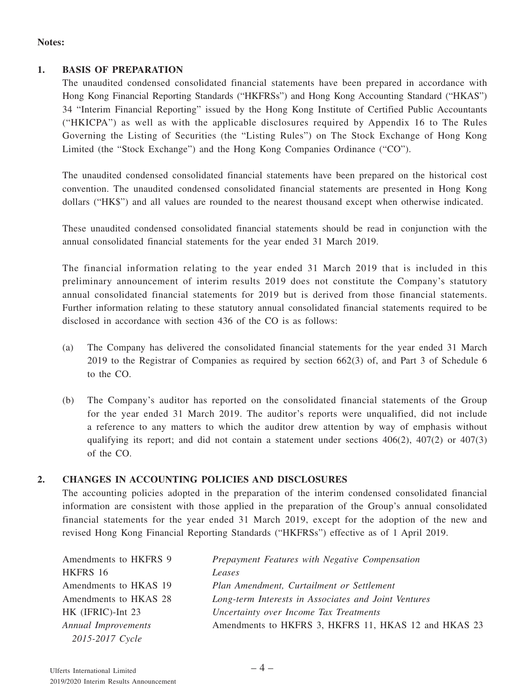#### **Notes:**

#### **1. BASIS OF PREPARATION**

The unaudited condensed consolidated financial statements have been prepared in accordance with Hong Kong Financial Reporting Standards ("HKFRSs") and Hong Kong Accounting Standard ("HKAS") 34 "Interim Financial Reporting" issued by the Hong Kong Institute of Certified Public Accountants ("HKICPA") as well as with the applicable disclosures required by Appendix 16 to The Rules Governing the Listing of Securities (the "Listing Rules") on The Stock Exchange of Hong Kong Limited (the "Stock Exchange") and the Hong Kong Companies Ordinance ("CO").

The unaudited condensed consolidated financial statements have been prepared on the historical cost convention. The unaudited condensed consolidated financial statements are presented in Hong Kong dollars ("HK\$") and all values are rounded to the nearest thousand except when otherwise indicated.

These unaudited condensed consolidated financial statements should be read in conjunction with the annual consolidated financial statements for the year ended 31 March 2019.

The financial information relating to the year ended 31 March 2019 that is included in this preliminary announcement of interim results 2019 does not constitute the Company's statutory annual consolidated financial statements for 2019 but is derived from those financial statements. Further information relating to these statutory annual consolidated financial statements required to be disclosed in accordance with section 436 of the CO is as follows:

- (a) The Company has delivered the consolidated financial statements for the year ended 31 March 2019 to the Registrar of Companies as required by section 662(3) of, and Part 3 of Schedule 6 to the CO.
- (b) The Company's auditor has reported on the consolidated financial statements of the Group for the year ended 31 March 2019. The auditor's reports were unqualified, did not include a reference to any matters to which the auditor drew attention by way of emphasis without qualifying its report; and did not contain a statement under sections  $406(2)$ ,  $407(2)$  or  $407(3)$ of the CO.

#### **2. CHANGES IN ACCOUNTING POLICIES AND DISCLOSURES**

The accounting policies adopted in the preparation of the interim condensed consolidated financial information are consistent with those applied in the preparation of the Group's annual consolidated financial statements for the year ended 31 March 2019, except for the adoption of the new and revised Hong Kong Financial Reporting Standards ("HKFRSs") effective as of 1 April 2019.

| Amendments to HKFRS 9      | Prepayment Features with Negative Compensation       |
|----------------------------|------------------------------------------------------|
| HKFRS 16                   | Leases                                               |
| Amendments to HKAS 19      | Plan Amendment, Curtailment or Settlement            |
| Amendments to HKAS 28      | Long-term Interests in Associates and Joint Ventures |
| HK (IFRIC)-Int 23          | Uncertainty over Income Tax Treatments               |
| <b>Annual Improvements</b> | Amendments to HKFRS 3, HKFRS 11, HKAS 12 and HKAS 23 |
| 2015-2017 Cycle            |                                                      |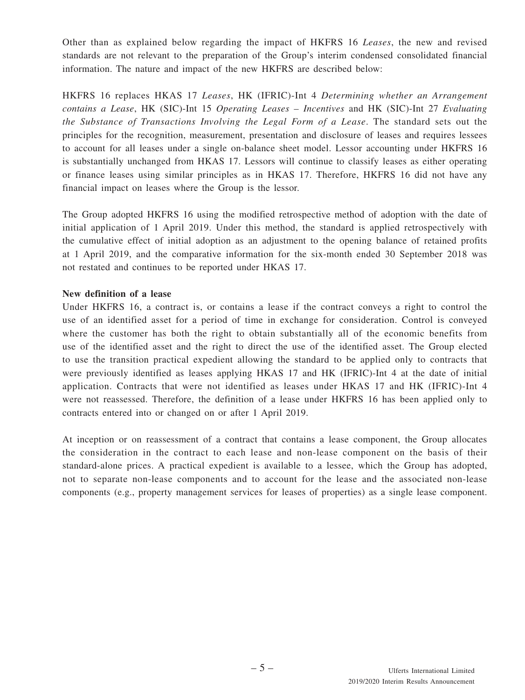Other than as explained below regarding the impact of HKFRS 16 *Leases*, the new and revised standards are not relevant to the preparation of the Group's interim condensed consolidated financial information. The nature and impact of the new HKFRS are described below:

HKFRS 16 replaces HKAS 17 *Leases*, HK (IFRIC)-Int 4 *Determining whether an Arrangement contains a Lease*, HK (SIC)-Int 15 *Operating Leases – Incentives* and HK (SIC)-Int 27 *Evaluating the Substance of Transactions Involving the Legal Form of a Lease*. The standard sets out the principles for the recognition, measurement, presentation and disclosure of leases and requires lessees to account for all leases under a single on-balance sheet model. Lessor accounting under HKFRS 16 is substantially unchanged from HKAS 17. Lessors will continue to classify leases as either operating or finance leases using similar principles as in HKAS 17. Therefore, HKFRS 16 did not have any financial impact on leases where the Group is the lessor.

The Group adopted HKFRS 16 using the modified retrospective method of adoption with the date of initial application of 1 April 2019. Under this method, the standard is applied retrospectively with the cumulative effect of initial adoption as an adjustment to the opening balance of retained profits at 1 April 2019, and the comparative information for the six-month ended 30 September 2018 was not restated and continues to be reported under HKAS 17.

#### **New definition of a lease**

Under HKFRS 16, a contract is, or contains a lease if the contract conveys a right to control the use of an identified asset for a period of time in exchange for consideration. Control is conveyed where the customer has both the right to obtain substantially all of the economic benefits from use of the identified asset and the right to direct the use of the identified asset. The Group elected to use the transition practical expedient allowing the standard to be applied only to contracts that were previously identified as leases applying HKAS 17 and HK (IFRIC)-Int 4 at the date of initial application. Contracts that were not identified as leases under HKAS 17 and HK (IFRIC)-Int 4 were not reassessed. Therefore, the definition of a lease under HKFRS 16 has been applied only to contracts entered into or changed on or after 1 April 2019.

At inception or on reassessment of a contract that contains a lease component, the Group allocates the consideration in the contract to each lease and non-lease component on the basis of their standard-alone prices. A practical expedient is available to a lessee, which the Group has adopted, not to separate non-lease components and to account for the lease and the associated non-lease components (e.g., property management services for leases of properties) as a single lease component.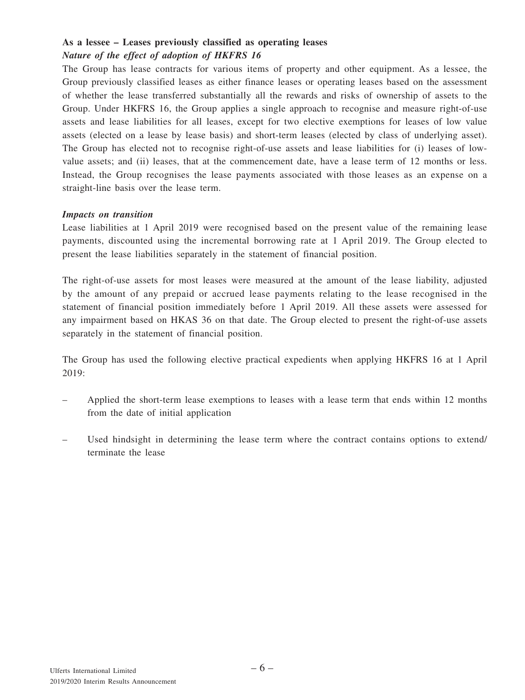#### **As a lessee – Leases previously classified as operating leases** *Nature of the effect of adoption of HKFRS 16*

The Group has lease contracts for various items of property and other equipment. As a lessee, the Group previously classified leases as either finance leases or operating leases based on the assessment of whether the lease transferred substantially all the rewards and risks of ownership of assets to the Group. Under HKFRS 16, the Group applies a single approach to recognise and measure right-of-use assets and lease liabilities for all leases, except for two elective exemptions for leases of low value assets (elected on a lease by lease basis) and short-term leases (elected by class of underlying asset). The Group has elected not to recognise right-of-use assets and lease liabilities for (i) leases of lowvalue assets; and (ii) leases, that at the commencement date, have a lease term of 12 months or less. Instead, the Group recognises the lease payments associated with those leases as an expense on a straight-line basis over the lease term.

#### *Impacts on transition*

Lease liabilities at 1 April 2019 were recognised based on the present value of the remaining lease payments, discounted using the incremental borrowing rate at 1 April 2019. The Group elected to present the lease liabilities separately in the statement of financial position.

The right-of-use assets for most leases were measured at the amount of the lease liability, adjusted by the amount of any prepaid or accrued lease payments relating to the lease recognised in the statement of financial position immediately before 1 April 2019. All these assets were assessed for any impairment based on HKAS 36 on that date. The Group elected to present the right-of-use assets separately in the statement of financial position.

The Group has used the following elective practical expedients when applying HKFRS 16 at 1 April 2019:

- Applied the short-term lease exemptions to leases with a lease term that ends within 12 months from the date of initial application
- Used hindsight in determining the lease term where the contract contains options to extend/ terminate the lease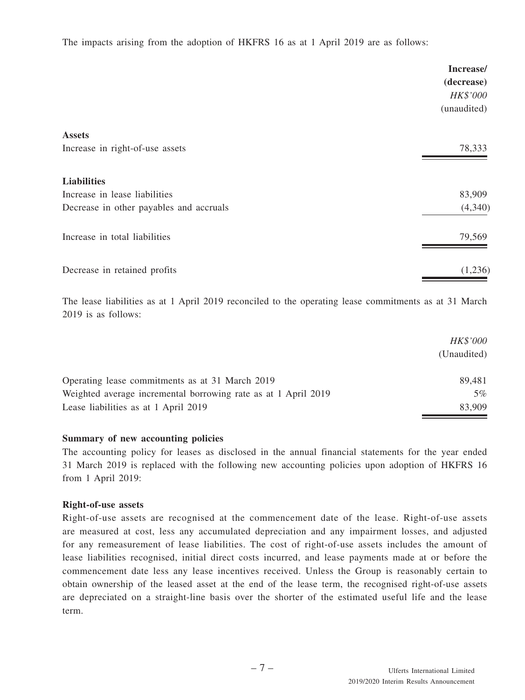The impacts arising from the adoption of HKFRS 16 as at 1 April 2019 are as follows:

|                                         | Increase/<br>(decrease)<br>HK\$'000<br>(unaudited) |
|-----------------------------------------|----------------------------------------------------|
| <b>Assets</b>                           |                                                    |
| Increase in right-of-use assets         | 78,333                                             |
| <b>Liabilities</b>                      |                                                    |
| Increase in lease liabilities           | 83,909                                             |
| Decrease in other payables and accruals | (4,340)                                            |
| Increase in total liabilities           | 79,569                                             |
| Decrease in retained profits            | (1,236)                                            |

The lease liabilities as at 1 April 2019 reconciled to the operating lease commitments as at 31 March 2019 is as follows:

|                                                                | <b>HK\$'000</b> |
|----------------------------------------------------------------|-----------------|
|                                                                | (Unaudited)     |
| Operating lease commitments as at 31 March 2019                | 89.481          |
| Weighted average incremental borrowing rate as at 1 April 2019 | 5%              |
| Lease liabilities as at 1 April 2019                           | 83,909          |

#### **Summary of new accounting policies**

The accounting policy for leases as disclosed in the annual financial statements for the year ended 31 March 2019 is replaced with the following new accounting policies upon adoption of HKFRS 16 from 1 April 2019:

#### **Right-of-use assets**

Right-of-use assets are recognised at the commencement date of the lease. Right-of-use assets are measured at cost, less any accumulated depreciation and any impairment losses, and adjusted for any remeasurement of lease liabilities. The cost of right-of-use assets includes the amount of lease liabilities recognised, initial direct costs incurred, and lease payments made at or before the commencement date less any lease incentives received. Unless the Group is reasonably certain to obtain ownership of the leased asset at the end of the lease term, the recognised right-of-use assets are depreciated on a straight-line basis over the shorter of the estimated useful life and the lease term.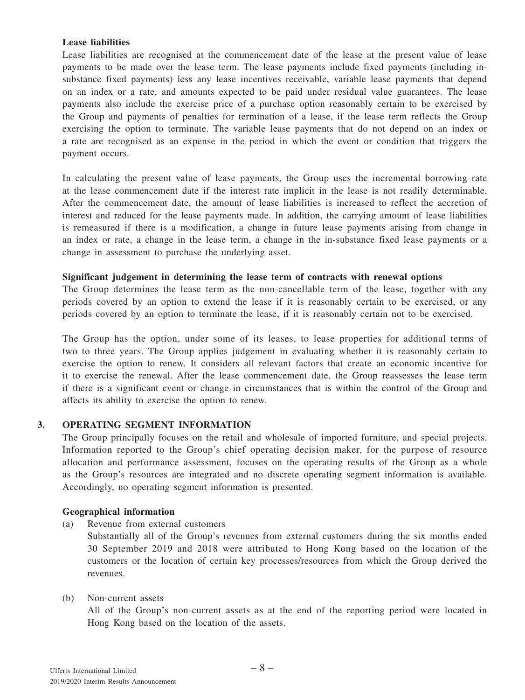#### **Lease liabilities**

Lease liabilities are recognised at the commencement date of the lease at the present value of lease payments to be made over the lease term. The lease payments include fixed payments (including insubstance fixed payments) less any lease incentives receivable, variable lease payments that depend on an index or a rate, and amounts expected to be paid under residual value guarantees. The lease payments also include the exercise price of a purchase option reasonably certain to be exercised by the Group and payments of penalties for termination of a lease, if the lease term reflects the Group exercising the option to terminate. The variable lease payments that do not depend on an index or a rate are recognised as an expense in the period in which the event or condition that triggers the payment occurs.

In calculating the present value of lease payments, the Group uses the incremental borrowing rate at the lease commencement date if the interest rate implicit in the lease is not readily determinable. After the commencement date, the amount of lease liabilities is increased to reflect the accretion of interest and reduced for the lease payments made. In addition, the carrying amount of lease liabilities is remeasured if there is a modification, a change in future lease payments arising from change in an index or rate, a change in the lease term, a change in the in-substance fixed lease payments or a change in assessment to purchase the underlying asset.

#### **Significant judgement in determining the lease term of contracts with renewal options**

The Group determines the lease term as the non-cancellable term of the lease, together with any periods covered by an option to extend the lease if it is reasonably certain to be exercised, or any periods covered by an option to terminate the lease, if it is reasonably certain not to be exercised.

The Group has the option, under some of its leases, to lease properties for additional terms of two to three years. The Group applies judgement in evaluating whether it is reasonably certain to exercise the option to renew. It considers all relevant factors that create an economic incentive for it to exercise the renewal. After the lease commencement date, the Group reassesses the lease term if there is a significant event or change in circumstances that is within the control of the Group and affects its ability to exercise the option to renew.

#### **3. OPERATING SEGMENT INFORMATION**

The Group principally focuses on the retail and wholesale of imported furniture, and special projects. Information reported to the Group's chief operating decision maker, for the purpose of resource allocation and performance assessment, focuses on the operating results of the Group as a whole as the Group's resources are integrated and no discrete operating segment information is available. Accordingly, no operating segment information is presented.

#### **Geographical information**

(a) Revenue from external customers

Substantially all of the Group's revenues from external customers during the six months ended 30 September 2019 and 2018 were attributed to Hong Kong based on the location of the customers or the location of certain key processes/resources from which the Group derived the revenues.

#### (b) Non-current assets

All of the Group's non-current assets as at the end of the reporting period were located in Hong Kong based on the location of the assets.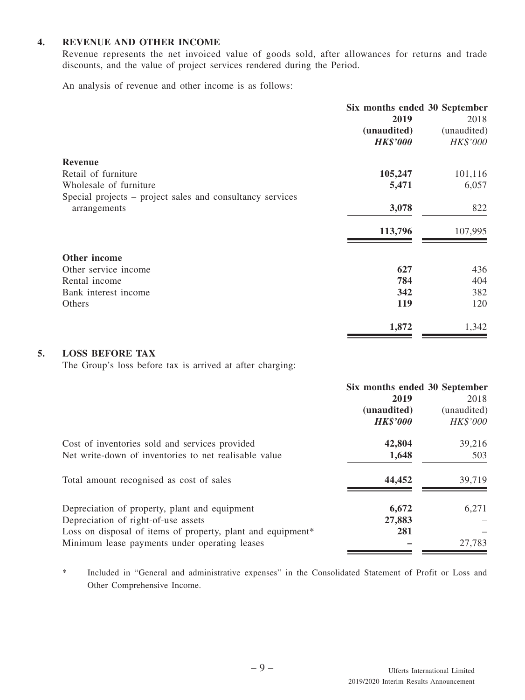#### **4. REVENUE AND OTHER INCOME**

Revenue represents the net invoiced value of goods sold, after allowances for returns and trade discounts, and the value of project services rendered during the Period.

An analysis of revenue and other income is as follows:

|                                                           | Six months ended 30 September |             |
|-----------------------------------------------------------|-------------------------------|-------------|
|                                                           | 2019                          | 2018        |
|                                                           | (unaudited)                   | (unaudited) |
|                                                           | <b>HK\$'000</b>               | HK\$'000    |
| <b>Revenue</b>                                            |                               |             |
| Retail of furniture                                       | 105,247                       | 101,116     |
| Wholesale of furniture                                    | 5,471                         | 6,057       |
| Special projects – project sales and consultancy services |                               |             |
| arrangements                                              | 3,078                         | 822         |
|                                                           | 113,796                       | 107,995     |
| Other income                                              |                               |             |
| Other service income                                      | 627                           | 436         |
| Rental income                                             | 784                           | 404         |
| Bank interest income                                      | 342                           | 382         |
| Others                                                    | 119                           | 120         |
|                                                           | 1,872                         | 1,342       |

#### **5. LOSS BEFORE TAX**

The Group's loss before tax is arrived at after charging:

|                                                                                                                                                                                                      | Six months ended 30 September<br>2019<br>(unaudited)<br><b>HK\$'000</b> | 2018<br>(unaudited)<br>HK\$'000 |
|------------------------------------------------------------------------------------------------------------------------------------------------------------------------------------------------------|-------------------------------------------------------------------------|---------------------------------|
| Cost of inventories sold and services provided<br>Net write-down of inventories to net realisable value                                                                                              | 42,804<br>1,648                                                         | 39,216<br>503                   |
| Total amount recognised as cost of sales                                                                                                                                                             | 44,452                                                                  | 39,719                          |
| Depreciation of property, plant and equipment<br>Depreciation of right-of-use assets<br>Loss on disposal of items of property, plant and equipment*<br>Minimum lease payments under operating leases | 6,672<br>27,883<br>281                                                  | 6,271<br>27,783                 |

\* Included in "General and administrative expenses" in the Consolidated Statement of Profit or Loss and Other Comprehensive Income.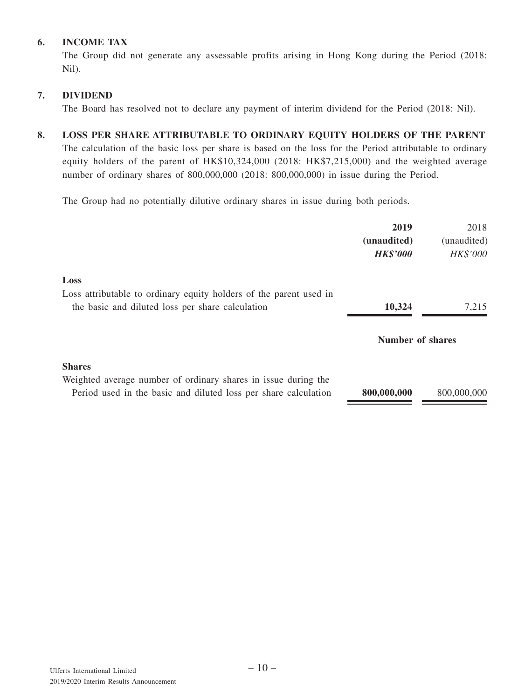### **6. INCOME TAX**

The Group did not generate any assessable profits arising in Hong Kong during the Period (2018: Nil).

#### **7. DIVIDEND**

The Board has resolved not to declare any payment of interim dividend for the Period (2018: Nil).

### **8. LOSS PER SHARE ATTRIBUTABLE TO ORDINARY EQUITY HOLDERS OF THE PARENT**

The calculation of the basic loss per share is based on the loss for the Period attributable to ordinary equity holders of the parent of HK\$10,324,000 (2018: HK\$7,215,000) and the weighted average number of ordinary shares of 800,000,000 (2018: 800,000,000) in issue during the Period.

The Group had no potentially dilutive ordinary shares in issue during both periods.

|                                                                                                                                   | 2019<br>(unaudited)<br><b>HK\$'000</b> | 2018<br>(unaudited)<br><b>HK\$'000</b> |
|-----------------------------------------------------------------------------------------------------------------------------------|----------------------------------------|----------------------------------------|
| Loss                                                                                                                              |                                        |                                        |
| Loss attributable to ordinary equity holders of the parent used in<br>the basic and diluted loss per share calculation            | 10,324                                 | 7,215                                  |
|                                                                                                                                   |                                        |                                        |
|                                                                                                                                   | <b>Number of shares</b>                |                                        |
| <b>Shares</b>                                                                                                                     |                                        |                                        |
| Weighted average number of ordinary shares in issue during the<br>Period used in the basic and diluted loss per share calculation | 800,000,000                            | 800,000,000                            |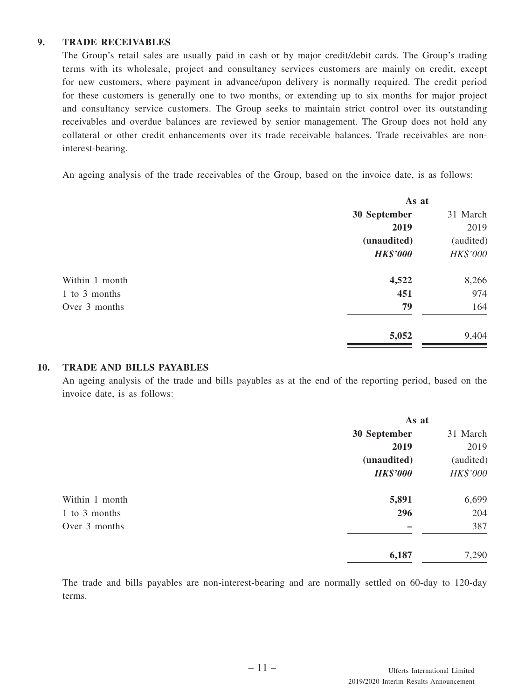#### **9. TRADE RECEIVABLES**

The Group's retail sales are usually paid in cash or by major credit/debit cards. The Group's trading terms with its wholesale, project and consultancy services customers are mainly on credit, except for new customers, where payment in advance/upon delivery is normally required. The credit period for these customers is generally one to two months, or extending up to six months for major project and consultancy service customers. The Group seeks to maintain strict control over its outstanding receivables and overdue balances are reviewed by senior management. The Group does not hold any collateral or other credit enhancements over its trade receivable balances. Trade receivables are noninterest-bearing.

An ageing analysis of the trade receivables of the Group, based on the invoice date, is as follows:

| As at           |           |
|-----------------|-----------|
| 30 September    | 31 March  |
| 2019            | 2019      |
| (unaudited)     | (audited) |
| <b>HK\$'000</b> | HK\$'000  |
| 4,522           | 8,266     |
| 451             | 974       |
| 79              | 164       |
| 5,052           | 9,404     |
|                 |           |

#### **10. TRADE AND BILLS PAYABLES**

An ageing analysis of the trade and bills payables as at the end of the reporting period, based on the invoice date, is as follows:

|                | As at           |           |
|----------------|-----------------|-----------|
|                | 30 September    | 31 March  |
|                | 2019            | 2019      |
|                | (unaudited)     | (audited) |
|                | <b>HK\$'000</b> | HK\$'000  |
| Within 1 month | 5,891           | 6,699     |
| 1 to 3 months  | 296             | 204       |
| Over 3 months  |                 | 387       |
|                | 6,187           | 7,290     |

The trade and bills payables are non-interest-bearing and are normally settled on 60-day to 120-day terms.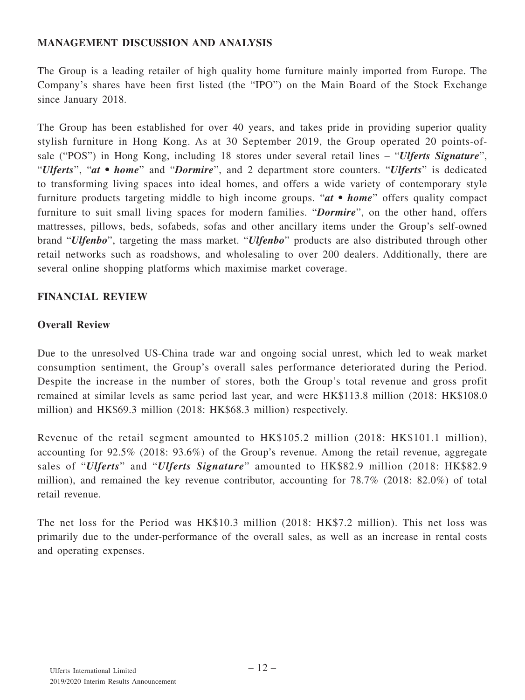## **MANAGEMENT DISCUSSION AND ANALYSIS**

The Group is a leading retailer of high quality home furniture mainly imported from Europe. The Company's shares have been first listed (the "IPO") on the Main Board of the Stock Exchange since January 2018.

The Group has been established for over 40 years, and takes pride in providing superior quality stylish furniture in Hong Kong. As at 30 September 2019, the Group operated 20 points-ofsale ("POS") in Hong Kong, including 18 stores under several retail lines – "*Ulferts Signature*", "*Ulferts*", "*at • home*" and "*Dormire*", and 2 department store counters. "*Ulferts*" is dedicated to transforming living spaces into ideal homes, and offers a wide variety of contemporary style furniture products targeting middle to high income groups. "*at • home*" offers quality compact furniture to suit small living spaces for modern families. "*Dormire*", on the other hand, offers mattresses, pillows, beds, sofabeds, sofas and other ancillary items under the Group's self-owned brand "*Ulfenbo*", targeting the mass market. "*Ulfenbo*" products are also distributed through other retail networks such as roadshows, and wholesaling to over 200 dealers. Additionally, there are several online shopping platforms which maximise market coverage.

### **FINANCIAL REVIEW**

### **Overall Review**

Due to the unresolved US-China trade war and ongoing social unrest, which led to weak market consumption sentiment, the Group's overall sales performance deteriorated during the Period. Despite the increase in the number of stores, both the Group's total revenue and gross profit remained at similar levels as same period last year, and were HK\$113.8 million (2018: HK\$108.0 million) and HK\$69.3 million (2018: HK\$68.3 million) respectively.

Revenue of the retail segment amounted to HK\$105.2 million (2018: HK\$101.1 million), accounting for 92.5% (2018: 93.6%) of the Group's revenue. Among the retail revenue, aggregate sales of "*Ulferts*" and "*Ulferts Signature*" amounted to HK\$82.9 million (2018: HK\$82.9 million), and remained the key revenue contributor, accounting for 78.7% (2018: 82.0%) of total retail revenue.

The net loss for the Period was HK\$10.3 million (2018: HK\$7.2 million). This net loss was primarily due to the under-performance of the overall sales, as well as an increase in rental costs and operating expenses.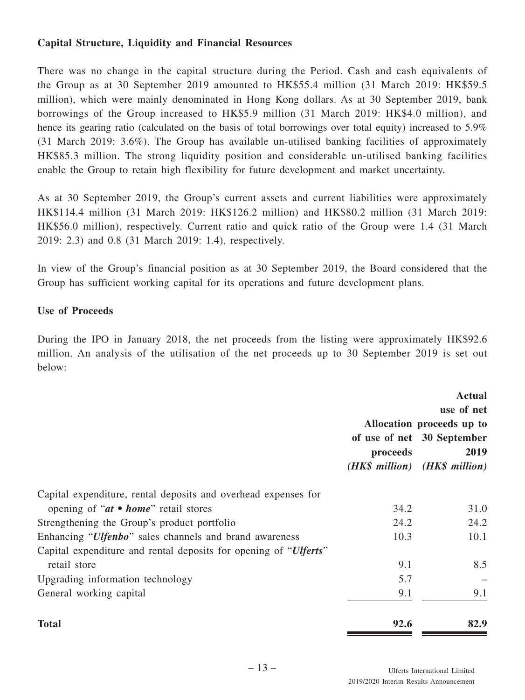# **Capital Structure, Liquidity and Financial Resources**

There was no change in the capital structure during the Period. Cash and cash equivalents of the Group as at 30 September 2019 amounted to HK\$55.4 million (31 March 2019: HK\$59.5 million), which were mainly denominated in Hong Kong dollars. As at 30 September 2019, bank borrowings of the Group increased to HK\$5.9 million (31 March 2019: HK\$4.0 million), and hence its gearing ratio (calculated on the basis of total borrowings over total equity) increased to 5.9% (31 March 2019: 3.6%). The Group has available un-utilised banking facilities of approximately HK\$85.3 million. The strong liquidity position and considerable un-utilised banking facilities enable the Group to retain high flexibility for future development and market uncertainty.

As at 30 September 2019, the Group's current assets and current liabilities were approximately HK\$114.4 million (31 March 2019: HK\$126.2 million) and HK\$80.2 million (31 March 2019: HK\$56.0 million), respectively. Current ratio and quick ratio of the Group were 1.4 (31 March 2019: 2.3) and 0.8 (31 March 2019: 1.4), respectively.

In view of the Group's financial position as at 30 September 2019, the Board considered that the Group has sufficient working capital for its operations and future development plans.

### **Use of Proceeds**

During the IPO in January 2018, the net proceeds from the listing were approximately HK\$92.6 million. An analysis of the utilisation of the net proceeds up to 30 September 2019 is set out below:

|                                                                  | <b>Actual</b><br>use of net<br>Allocation proceeds up to |                                    |  |
|------------------------------------------------------------------|----------------------------------------------------------|------------------------------------|--|
|                                                                  | proceeds                                                 | of use of net 30 September<br>2019 |  |
|                                                                  |                                                          | (HK\$ million) (HK\$ million)      |  |
| Capital expenditure, rental deposits and overhead expenses for   |                                                          |                                    |  |
| opening of " $at \bullet home$ " retail stores                   | 34.2                                                     | 31.0                               |  |
| Strengthening the Group's product portfolio                      | 24.2                                                     | 24.2                               |  |
| Enhancing " <i>Ulfenbo</i> " sales channels and brand awareness  | 10.3                                                     | 10.1                               |  |
| Capital expenditure and rental deposits for opening of "Ulferts" |                                                          |                                    |  |
| retail store                                                     | 9.1                                                      | 8.5                                |  |
| Upgrading information technology                                 | 5.7                                                      |                                    |  |
| General working capital                                          | 9.1                                                      | 9.1                                |  |
| <b>Total</b>                                                     | 92.6                                                     | 82.9                               |  |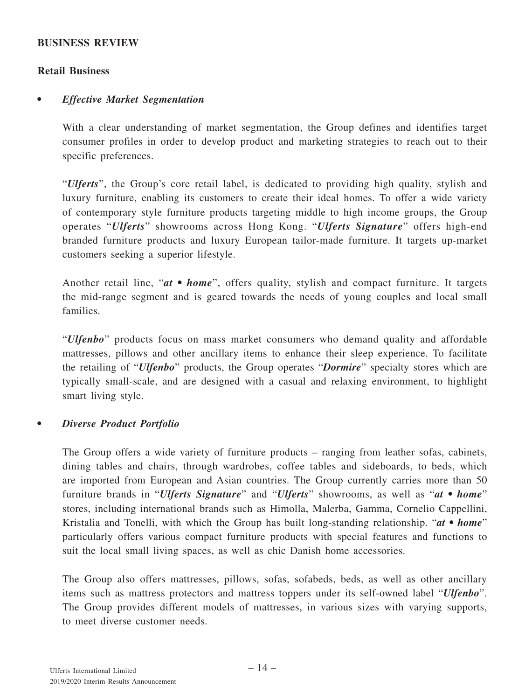#### **BUSINESS REVIEW**

### **Retail Business**

### *• Effective Market Segmentation*

With a clear understanding of market segmentation, the Group defines and identifies target consumer profiles in order to develop product and marketing strategies to reach out to their specific preferences.

"*Ulferts*", the Group's core retail label, is dedicated to providing high quality, stylish and luxury furniture, enabling its customers to create their ideal homes. To offer a wide variety of contemporary style furniture products targeting middle to high income groups, the Group operates "*Ulferts*" showrooms across Hong Kong. "*Ulferts Signature*" offers high-end branded furniture products and luxury European tailor-made furniture. It targets up-market customers seeking a superior lifestyle.

Another retail line, "*at* • *home*", offers quality, stylish and compact furniture. It targets the mid-range segment and is geared towards the needs of young couples and local small families.

"*Ulfenbo*" products focus on mass market consumers who demand quality and affordable mattresses, pillows and other ancillary items to enhance their sleep experience. To facilitate the retailing of "*Ulfenbo*" products, the Group operates "*Dormire*" specialty stores which are typically small-scale, and are designed with a casual and relaxing environment, to highlight smart living style.

### *• Diverse Product Portfolio*

The Group offers a wide variety of furniture products – ranging from leather sofas, cabinets, dining tables and chairs, through wardrobes, coffee tables and sideboards, to beds, which are imported from European and Asian countries. The Group currently carries more than 50 furniture brands in "*Ulferts Signature*" and "*Ulferts*" showrooms, as well as "*at • home*" stores, including international brands such as Himolla, Malerba, Gamma, Cornelio Cappellini, Kristalia and Tonelli, with which the Group has built long-standing relationship. "*at • home*" particularly offers various compact furniture products with special features and functions to suit the local small living spaces, as well as chic Danish home accessories.

The Group also offers mattresses, pillows, sofas, sofabeds, beds, as well as other ancillary items such as mattress protectors and mattress toppers under its self-owned label "*Ulfenbo*". The Group provides different models of mattresses, in various sizes with varying supports, to meet diverse customer needs.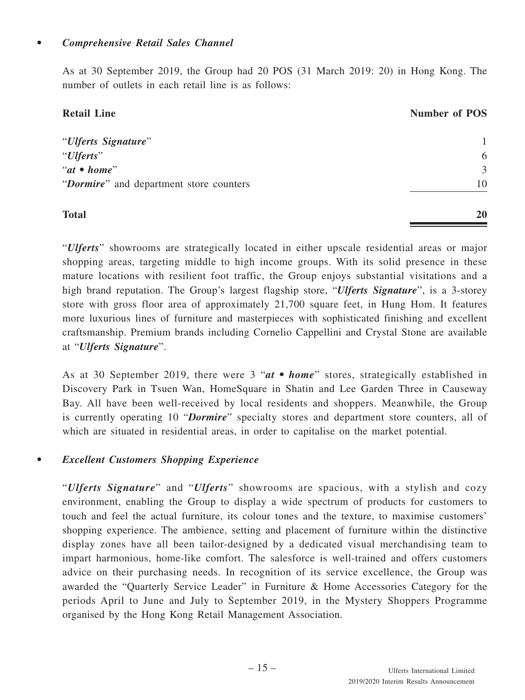As at 30 September 2019, the Group had 20 POS (31 March 2019: 20) in Hong Kong. The number of outlets in each retail line is as follows:

| <b>Retail Line</b>                      | <b>Number of POS</b> |
|-----------------------------------------|----------------------|
| "Ulferts Signature"                     | 1                    |
| "Ulferts"                               | 6                    |
| " $at \bullet home"$                    | 3                    |
| "Dormire" and department store counters | 10                   |
| <b>Total</b>                            | 20                   |

"*Ulferts*" showrooms are strategically located in either upscale residential areas or major shopping areas, targeting middle to high income groups. With its solid presence in these mature locations with resilient foot traffic, the Group enjoys substantial visitations and a high brand reputation. The Group's largest flagship store, "*Ulferts Signature*", is a 3-storey store with gross floor area of approximately 21,700 square feet, in Hung Hom. It features more luxurious lines of furniture and masterpieces with sophisticated finishing and excellent craftsmanship. Premium brands including Cornelio Cappellini and Crystal Stone are available at "*Ulferts Signature*".

As at 30 September 2019, there were 3 "*at • home*" stores, strategically established in Discovery Park in Tsuen Wan, HomeSquare in Shatin and Lee Garden Three in Causeway Bay. All have been well-received by local residents and shoppers. Meanwhile, the Group is currently operating 10 "*Dormire*" specialty stores and department store counters, all of which are situated in residential areas, in order to capitalise on the market potential.

# *• Excellent Customers Shopping Experience*

"*Ulferts Signature*" and "*Ulferts*" showrooms are spacious, with a stylish and cozy environment, enabling the Group to display a wide spectrum of products for customers to touch and feel the actual furniture, its colour tones and the texture, to maximise customers' shopping experience. The ambience, setting and placement of furniture within the distinctive display zones have all been tailor-designed by a dedicated visual merchandising team to impart harmonious, home-like comfort. The salesforce is well-trained and offers customers advice on their purchasing needs. In recognition of its service excellence, the Group was awarded the "Quarterly Service Leader" in Furniture & Home Accessories Category for the periods April to June and July to September 2019, in the Mystery Shoppers Programme organised by the Hong Kong Retail Management Association.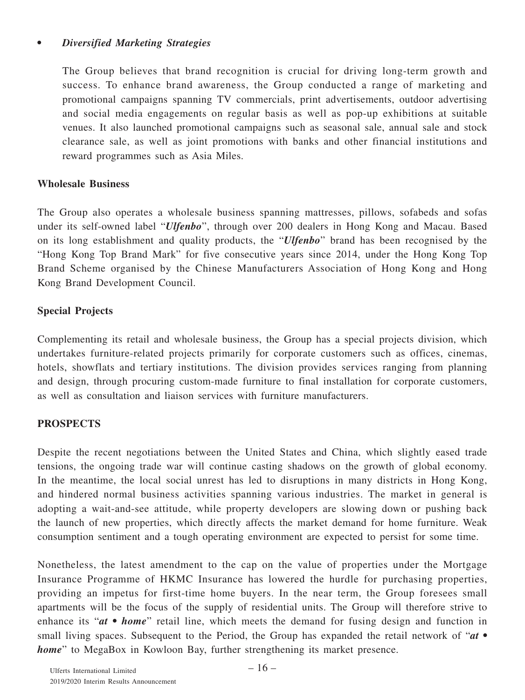## *• Diversified Marketing Strategies*

The Group believes that brand recognition is crucial for driving long-term growth and success. To enhance brand awareness, the Group conducted a range of marketing and promotional campaigns spanning TV commercials, print advertisements, outdoor advertising and social media engagements on regular basis as well as pop-up exhibitions at suitable venues. It also launched promotional campaigns such as seasonal sale, annual sale and stock clearance sale, as well as joint promotions with banks and other financial institutions and reward programmes such as Asia Miles.

### **Wholesale Business**

The Group also operates a wholesale business spanning mattresses, pillows, sofabeds and sofas under its self-owned label "*Ulfenbo*", through over 200 dealers in Hong Kong and Macau. Based on its long establishment and quality products, the "*Ulfenbo*" brand has been recognised by the "Hong Kong Top Brand Mark" for five consecutive years since 2014, under the Hong Kong Top Brand Scheme organised by the Chinese Manufacturers Association of Hong Kong and Hong Kong Brand Development Council.

# **Special Projects**

Complementing its retail and wholesale business, the Group has a special projects division, which undertakes furniture-related projects primarily for corporate customers such as offices, cinemas, hotels, showflats and tertiary institutions. The division provides services ranging from planning and design, through procuring custom-made furniture to final installation for corporate customers, as well as consultation and liaison services with furniture manufacturers.

# **PROSPECTS**

Despite the recent negotiations between the United States and China, which slightly eased trade tensions, the ongoing trade war will continue casting shadows on the growth of global economy. In the meantime, the local social unrest has led to disruptions in many districts in Hong Kong, and hindered normal business activities spanning various industries. The market in general is adopting a wait-and-see attitude, while property developers are slowing down or pushing back the launch of new properties, which directly affects the market demand for home furniture. Weak consumption sentiment and a tough operating environment are expected to persist for some time.

Nonetheless, the latest amendment to the cap on the value of properties under the Mortgage Insurance Programme of HKMC Insurance has lowered the hurdle for purchasing properties, providing an impetus for first-time home buyers. In the near term, the Group foresees small apartments will be the focus of the supply of residential units. The Group will therefore strive to enhance its "*at • home*" retail line, which meets the demand for fusing design and function in small living spaces. Subsequent to the Period, the Group has expanded the retail network of "*at* • *home*" to MegaBox in Kowloon Bay, further strengthening its market presence.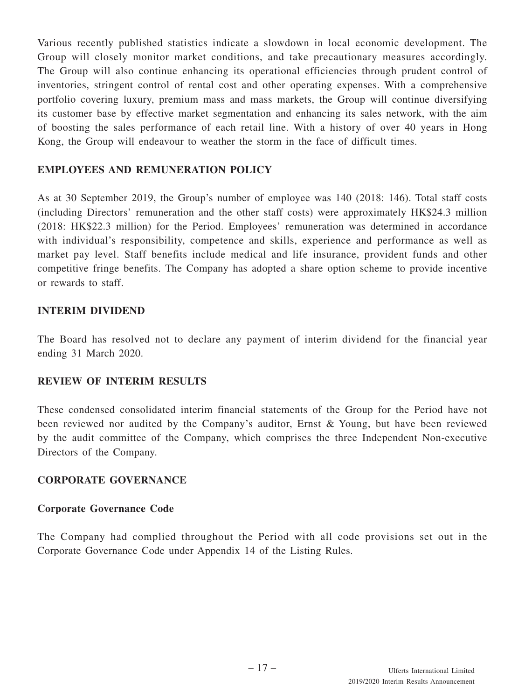Various recently published statistics indicate a slowdown in local economic development. The Group will closely monitor market conditions, and take precautionary measures accordingly. The Group will also continue enhancing its operational efficiencies through prudent control of inventories, stringent control of rental cost and other operating expenses. With a comprehensive portfolio covering luxury, premium mass and mass markets, the Group will continue diversifying its customer base by effective market segmentation and enhancing its sales network, with the aim of boosting the sales performance of each retail line. With a history of over 40 years in Hong Kong, the Group will endeavour to weather the storm in the face of difficult times.

# **EMPLOYEES AND REMUNERATION POLICY**

As at 30 September 2019, the Group's number of employee was 140 (2018: 146). Total staff costs (including Directors' remuneration and the other staff costs) were approximately HK\$24.3 million (2018: HK\$22.3 million) for the Period. Employees' remuneration was determined in accordance with individual's responsibility, competence and skills, experience and performance as well as market pay level. Staff benefits include medical and life insurance, provident funds and other competitive fringe benefits. The Company has adopted a share option scheme to provide incentive or rewards to staff.

### **INTERIM DIVIDEND**

The Board has resolved not to declare any payment of interim dividend for the financial year ending 31 March 2020.

### **REVIEW OF INTERIM RESULTS**

These condensed consolidated interim financial statements of the Group for the Period have not been reviewed nor audited by the Company's auditor, Ernst & Young, but have been reviewed by the audit committee of the Company, which comprises the three Independent Non-executive Directors of the Company.

### **CORPORATE GOVERNANCE**

### **Corporate Governance Code**

The Company had complied throughout the Period with all code provisions set out in the Corporate Governance Code under Appendix 14 of the Listing Rules.